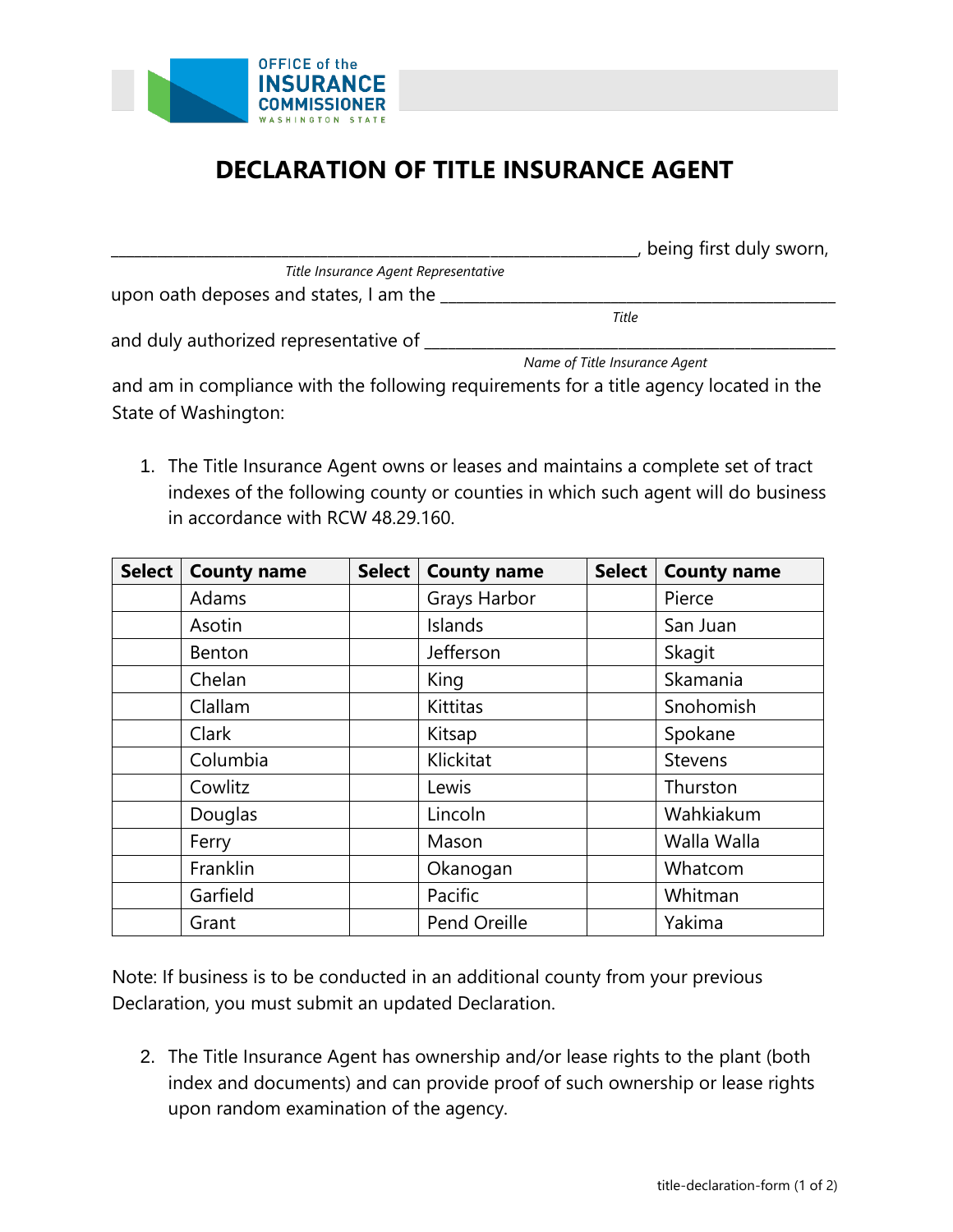

## **DECLARATION OF TITLE INSURANCE AGENT**

|                                                                                                                     | being first duly sworn,       |
|---------------------------------------------------------------------------------------------------------------------|-------------------------------|
| Title Insurance Agent Representative                                                                                |                               |
| upon oath deposes and states, I am the                                                                              |                               |
|                                                                                                                     | Title                         |
| and duly authorized representative of                                                                               |                               |
|                                                                                                                     | Name of Title Insurance Agent |
| الموالدين المستحسن والمتماسية والتلقيم والمتراقص والمستحدث والمستحدث والمستنق المتناقص والمستحدث والمستحي والمستحير |                               |

and am in compliance with the following requirements for a title agency located in the State of Washington:

1. The Title Insurance Agent owns or leases and maintains a complete set of tract indexes of the following county or counties in which such agent will do business in accordance with RCW 48.29.160.

| Select | <b>County name</b> | <b>Select</b> | <b>County name</b> | <b>Select</b> | <b>County name</b> |
|--------|--------------------|---------------|--------------------|---------------|--------------------|
|        | Adams              |               | Grays Harbor       |               | Pierce             |
|        | Asotin             |               | Islands            |               | San Juan           |
|        | Benton             |               | Jefferson          |               | Skagit             |
|        | Chelan             |               | King               |               | Skamania           |
|        | Clallam            |               | <b>Kittitas</b>    |               | Snohomish          |
|        | Clark              |               | Kitsap             |               | Spokane            |
|        | Columbia           |               | Klickitat          |               | <b>Stevens</b>     |
|        | Cowlitz            |               | Lewis              |               | Thurston           |
|        | Douglas            |               | Lincoln            |               | Wahkiakum          |
|        | Ferry              |               | Mason              |               | Walla Walla        |
|        | Franklin           |               | Okanogan           |               | Whatcom            |
|        | Garfield           |               | Pacific            |               | Whitman            |
|        | Grant              |               | Pend Oreille       |               | Yakima             |

Note: If business is to be conducted in an additional county from your previous Declaration, you must submit an updated Declaration.

2. The Title Insurance Agent has ownership and/or lease rights to the plant (both index and documents) and can provide proof of such ownership or lease rights upon random examination of the agency.